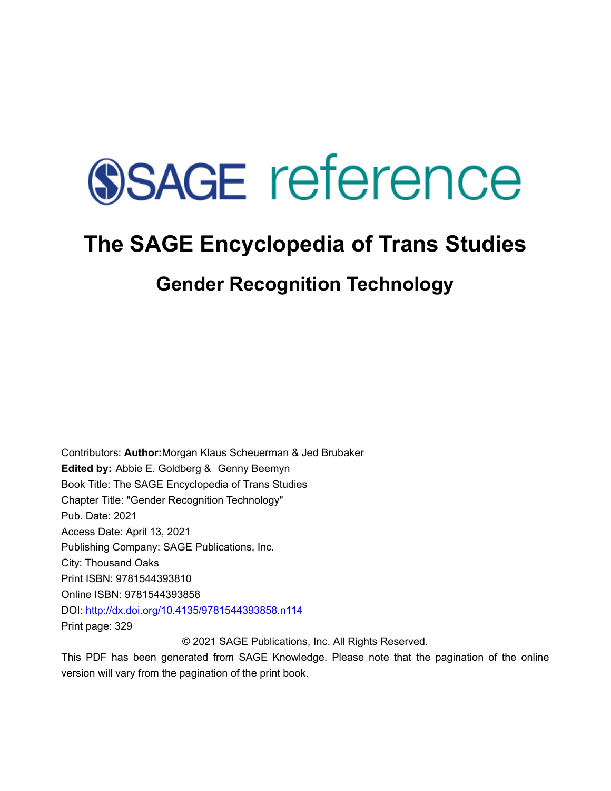# **SSAGE reference**

## **The SAGE Encyclopedia of Trans Studies**

### **Gender Recognition Technology**

Contributors: **Author:**Morgan Klaus Scheuerman & Jed Brubaker **Edited by:** [Abbie E. Goldberg](javascript:void(0);) & [Genny Beemyn](javascript:void(0);)  Book Title: The SAGE Encyclopedia of Trans Studies Chapter Title: "Gender Recognition Technology" Pub. Date: 2021 Access Date: April 13, 2021 Publishing Company: SAGE Publications, Inc. City: Thousand Oaks Print ISBN: 9781544393810 Online ISBN: 9781544393858 DOI: <http://dx.doi.org/10.4135/9781544393858.n114> Print page: 329

© 2021 SAGE Publications, Inc. All Rights Reserved.

This PDF has been generated from SAGE Knowledge. Please note that the pagination of the online version will vary from the pagination of the print book.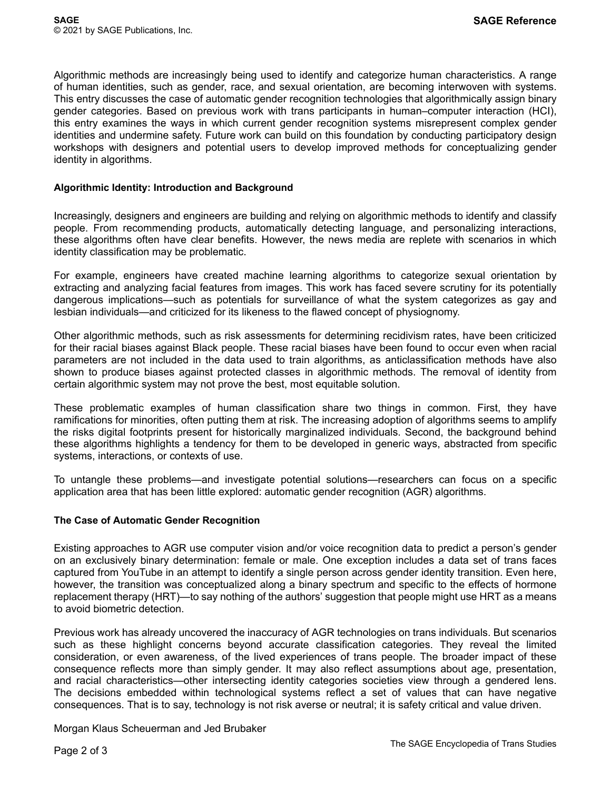Algorithmic methods are increasingly being used to identify and categorize human characteristics. A range of human identities, such as gender, race, and sexual orientation, are becoming interwoven with systems. This entry discusses the case of automatic gender recognition technologies that algorithmically assign binary gender categories. Based on previous work with trans participants in human–computer interaction (HCI), this entry examines the ways in which current gender recognition systems misrepresent complex gender identities and undermine safety. Future work can build on this foundation by conducting participatory design workshops with designers and potential users to develop improved methods for conceptualizing gender identity in algorithms.

#### **Algorithmic Identity: Introduction and Background**

Increasingly, designers and engineers are building and relying on algorithmic methods to identify and classify people. From recommending products, automatically detecting language, and personalizing interactions, these algorithms often have clear benefits. However, the news media are replete with scenarios in which identity classification may be problematic.

For example, engineers have created machine learning algorithms to categorize sexual orientation by extracting and analyzing facial features from images. This work has faced severe scrutiny for its potentially dangerous implications—such as potentials for surveillance of what the system categorizes as gay and lesbian individuals—and criticized for its likeness to the flawed concept of physiognomy.

Other algorithmic methods, such as risk assessments for determining recidivism rates, have been criticized for their racial biases against Black people. These racial biases have been found to occur even when racial parameters are not included in the data used to train algorithms, as anticlassification methods have also shown to produce biases against protected classes in algorithmic methods. The removal of identity from certain algorithmic system may not prove the best, most equitable solution.

These problematic examples of human classification share two things in common. First, they have ramifications for minorities, often putting them at risk. The increasing adoption of algorithms seems to amplify the risks digital footprints present for historically marginalized individuals. Second, the background behind these algorithms highlights a tendency for them to be developed in generic ways, abstracted from specific systems, interactions, or contexts of use.

To untangle these problems—and investigate potential solutions—researchers can focus on a specific application area that has been little explored: automatic gender recognition (AGR) algorithms.

#### **The Case of Automatic Gender Recognition**

Existing approaches to AGR use computer vision and/or voice recognition data to predict a person's gender on an exclusively binary determination: female or male. One exception includes a data set of trans faces captured from YouTube in an attempt to identify a single person across gender identity transition. Even here, however, the transition was conceptualized along a binary spectrum and specific to the effects of hormone replacement therapy (HRT)—to say nothing of the authors' suggestion that people might use HRT as a means to avoid biometric detection.

Previous work has already uncovered the inaccuracy of AGR technologies on trans individuals. But scenarios such as these highlight concerns beyond accurate classification categories. They reveal the limited consideration, or even awareness, of the lived experiences of trans people. The broader impact of these consequence reflects more than simply gender. It may also reflect assumptions about age, presentation, and racial characteristics—other intersecting identity categories societies view through a gendered lens. The decisions embedded within technological systems reflect a set of values that can have negative consequences. That is to say, technology is not risk averse or neutral; it is safety critical and value driven.

Morgan Klaus Scheuerman and Jed Brubaker